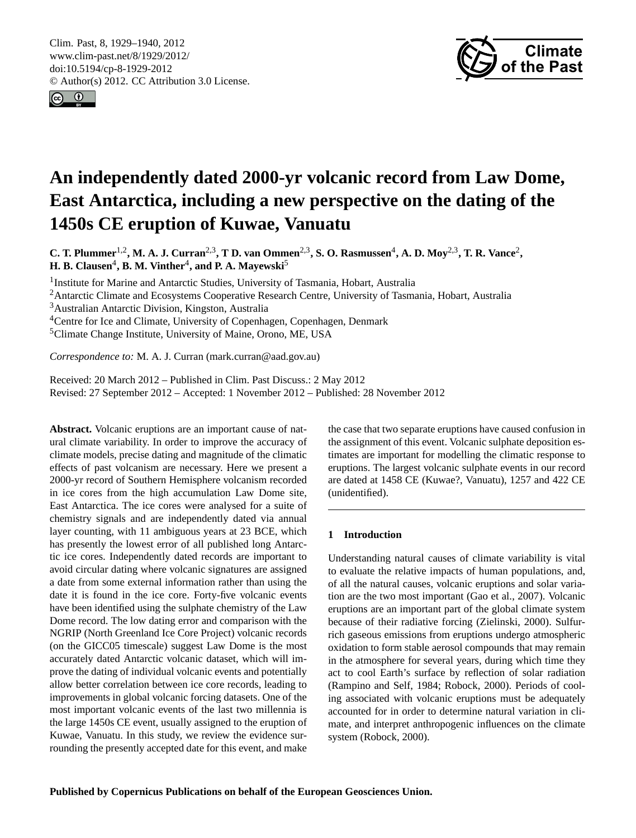<span id="page-0-0"></span>Clim. Past, 8, 1929–1940, 2012 www.clim-past.net/8/1929/2012/ doi:10.5194/cp-8-1929-2012 © Author(s) 2012. CC Attribution 3.0 License.





# **An independently dated 2000-yr volcanic record from Law Dome, East Antarctica, including a new perspective on the dating of the 1450s CE eruption of Kuwae, Vanuatu**

**C. T. Plummer**1,2**, M. A. J. Curran**2,3**, T D. van Ommen**2,3**, S. O. Rasmussen**<sup>4</sup> **, A. D. Moy**2,3**, T. R. Vance**<sup>2</sup> **, H. B. Clausen<sup>4</sup>, B. M. Vinther<sup>4</sup>, and P. A. Mayewski<sup>5</sup>** 

<sup>1</sup>Institute for Marine and Antarctic Studies, University of Tasmania, Hobart, Australia

<sup>2</sup>Antarctic Climate and Ecosystems Cooperative Research Centre, University of Tasmania, Hobart, Australia

<sup>3</sup>Australian Antarctic Division, Kingston, Australia

<sup>4</sup>Centre for Ice and Climate, University of Copenhagen, Copenhagen, Denmark

<sup>5</sup>Climate Change Institute, University of Maine, Orono, ME, USA

*Correspondence to:* M. A. J. Curran (mark.curran@aad.gov.au)

Received: 20 March 2012 – Published in Clim. Past Discuss.: 2 May 2012 Revised: 27 September 2012 – Accepted: 1 November 2012 – Published: 28 November 2012

**Abstract.** Volcanic eruptions are an important cause of natural climate variability. In order to improve the accuracy of climate models, precise dating and magnitude of the climatic effects of past volcanism are necessary. Here we present a 2000-yr record of Southern Hemisphere volcanism recorded in ice cores from the high accumulation Law Dome site, East Antarctica. The ice cores were analysed for a suite of chemistry signals and are independently dated via annual layer counting, with 11 ambiguous years at 23 BCE, which has presently the lowest error of all published long Antarctic ice cores. Independently dated records are important to avoid circular dating where volcanic signatures are assigned a date from some external information rather than using the date it is found in the ice core. Forty-five volcanic events have been identified using the sulphate chemistry of the Law Dome record. The low dating error and comparison with the NGRIP (North Greenland Ice Core Project) volcanic records (on the GICC05 timescale) suggest Law Dome is the most accurately dated Antarctic volcanic dataset, which will improve the dating of individual volcanic events and potentially allow better correlation between ice core records, leading to improvements in global volcanic forcing datasets. One of the most important volcanic events of the last two millennia is the large 1450s CE event, usually assigned to the eruption of Kuwae, Vanuatu. In this study, we review the evidence surrounding the presently accepted date for this event, and make

the case that two separate eruptions have caused confusion in the assignment of this event. Volcanic sulphate deposition estimates are important for modelling the climatic response to eruptions. The largest volcanic sulphate events in our record are dated at 1458 CE (Kuwae?, Vanuatu), 1257 and 422 CE (unidentified).

# **1 Introduction**

Understanding natural causes of climate variability is vital to evaluate the relative impacts of human populations, and, of all the natural causes, volcanic eruptions and solar variation are the two most important (Gao et al., 2007). Volcanic eruptions are an important part of the global climate system because of their radiative forcing (Zielinski, 2000). Sulfurrich gaseous emissions from eruptions undergo atmospheric oxidation to form stable aerosol compounds that may remain in the atmosphere for several years, during which time they act to cool Earth's surface by reflection of solar radiation (Rampino and Self, 1984; Robock, 2000). Periods of cooling associated with volcanic eruptions must be adequately accounted for in order to determine natural variation in climate, and interpret anthropogenic influences on the climate system (Robock, 2000).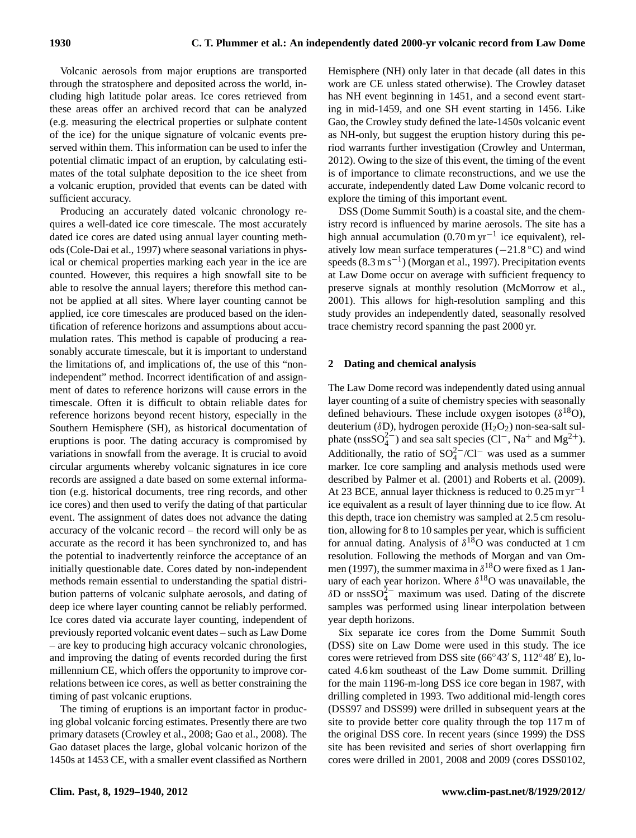Volcanic aerosols from major eruptions are transported through the stratosphere and deposited across the world, including high latitude polar areas. Ice cores retrieved from these areas offer an archived record that can be analyzed (e.g. measuring the electrical properties or sulphate content of the ice) for the unique signature of volcanic events preserved within them. This information can be used to infer the potential climatic impact of an eruption, by calculating estimates of the total sulphate deposition to the ice sheet from a volcanic eruption, provided that events can be dated with sufficient accuracy.

Producing an accurately dated volcanic chronology requires a well-dated ice core timescale. The most accurately dated ice cores are dated using annual layer counting methods (Cole-Dai et al., 1997) where seasonal variations in physical or chemical properties marking each year in the ice are counted. However, this requires a high snowfall site to be able to resolve the annual layers; therefore this method cannot be applied at all sites. Where layer counting cannot be applied, ice core timescales are produced based on the identification of reference horizons and assumptions about accumulation rates. This method is capable of producing a reasonably accurate timescale, but it is important to understand the limitations of, and implications of, the use of this "nonindependent" method. Incorrect identification of and assignment of dates to reference horizons will cause errors in the timescale. Often it is difficult to obtain reliable dates for reference horizons beyond recent history, especially in the Southern Hemisphere (SH), as historical documentation of eruptions is poor. The dating accuracy is compromised by variations in snowfall from the average. It is crucial to avoid circular arguments whereby volcanic signatures in ice core records are assigned a date based on some external information (e.g. historical documents, tree ring records, and other ice cores) and then used to verify the dating of that particular event. The assignment of dates does not advance the dating accuracy of the volcanic record – the record will only be as accurate as the record it has been synchronized to, and has the potential to inadvertently reinforce the acceptance of an initially questionable date. Cores dated by non-independent methods remain essential to understanding the spatial distribution patterns of volcanic sulphate aerosols, and dating of deep ice where layer counting cannot be reliably performed. Ice cores dated via accurate layer counting, independent of previously reported volcanic event dates – such as Law Dome – are key to producing high accuracy volcanic chronologies, and improving the dating of events recorded during the first millennium CE, which offers the opportunity to improve correlations between ice cores, as well as better constraining the timing of past volcanic eruptions.

The timing of eruptions is an important factor in producing global volcanic forcing estimates. Presently there are two primary datasets (Crowley et al., 2008; Gao et al., 2008). The Gao dataset places the large, global volcanic horizon of the 1450s at 1453 CE, with a smaller event classified as Northern Hemisphere (NH) only later in that decade (all dates in this work are CE unless stated otherwise). The Crowley dataset has NH event beginning in 1451, and a second event starting in mid-1459, and one SH event starting in 1456. Like Gao, the Crowley study defined the late-1450s volcanic event as NH-only, but suggest the eruption history during this period warrants further investigation (Crowley and Unterman, 2012). Owing to the size of this event, the timing of the event is of importance to climate reconstructions, and we use the accurate, independently dated Law Dome volcanic record to explore the timing of this important event.

DSS (Dome Summit South) is a coastal site, and the chemistry record is influenced by marine aerosols. The site has a high annual accumulation  $(0.70 \,\mathrm{m}\,\mathrm{yr}^{-1})$  ice equivalent), relatively low mean surface temperatures (−21.8 ◦C) and wind speeds  $(8.3 \text{ m s}^{-1})$  (Morgan et al., 1997). Precipitation events at Law Dome occur on average with sufficient frequency to preserve signals at monthly resolution (McMorrow et al., 2001). This allows for high-resolution sampling and this study provides an independently dated, seasonally resolved trace chemistry record spanning the past 2000 yr.

#### **2 Dating and chemical analysis**

The Law Dome record was independently dated using annual layer counting of a suite of chemistry species with seasonally defined behaviours. These include oxygen isotopes  $(\delta^{18}O)$ , deuterium ( $\delta$ D), hydrogen peroxide (H<sub>2</sub>O<sub>2</sub>) non-sea-salt sulphate (nssSO $_4^{2-}$ ) and sea salt species (Cl<sup>-</sup>, Na<sup>+</sup> and Mg<sup>2+</sup>). Additionally, the ratio of  $SO_4^{2-}/Cl^-$  was used as a summer marker. Ice core sampling and analysis methods used were described by Palmer et al. (2001) and Roberts et al. (2009). At 23 BCE, annual layer thickness is reduced to  $0.25 \text{ m yr}^{-1}$ ice equivalent as a result of layer thinning due to ice flow. At this depth, trace ion chemistry was sampled at 2.5 cm resolution, allowing for 8 to 10 samples per year, which is sufficient for annual dating. Analysis of  $\delta^{18}$ O was conducted at 1 cm resolution. Following the methods of Morgan and van Ommen (1997), the summer maxima in  $\delta^{18}$ O were fixed as 1 January of each year horizon. Where  $\delta^{18}$ O was unavailable, the  $\delta$ D or nssSO $_4^{2-}$  maximum was used. Dating of the discrete samples was performed using linear interpolation between year depth horizons.

Six separate ice cores from the Dome Summit South (DSS) site on Law Dome were used in this study. The ice cores were retrieved from DSS site  $(66°43' S, 112°48' E)$ , located 4.6 km southeast of the Law Dome summit. Drilling for the main 1196-m-long DSS ice core began in 1987, with drilling completed in 1993. Two additional mid-length cores (DSS97 and DSS99) were drilled in subsequent years at the site to provide better core quality through the top 117 m of the original DSS core. In recent years (since 1999) the DSS site has been revisited and series of short overlapping firn cores were drilled in 2001, 2008 and 2009 (cores DSS0102,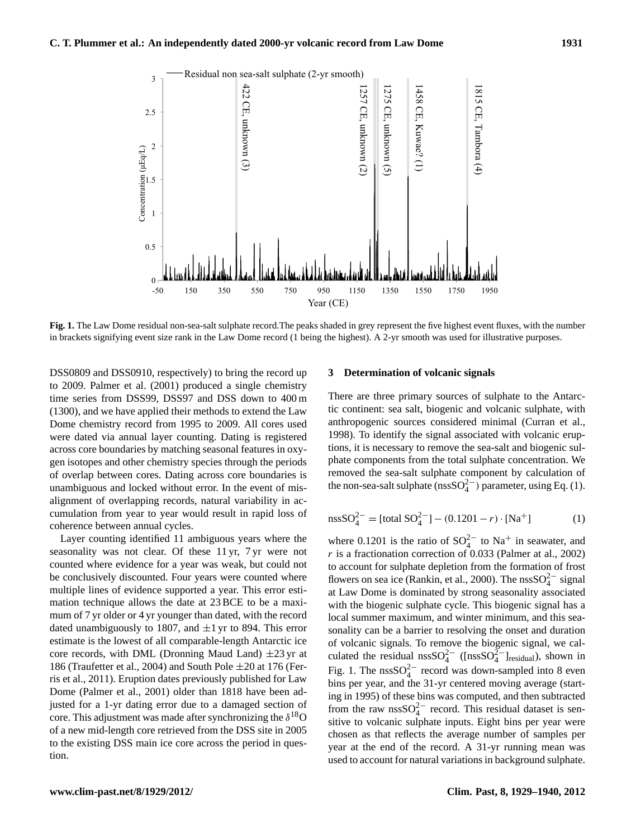

**Fig. 1.** The Law Dome residual non-sea-salt sulphate record.The peaks shaded in grey represent the five highest event fluxes, with the number in brackets signifying event size rank in the Law Dome record (1 being the highest). A 2-yr smooth was used for illustrative purposes.

DSS0809 and DSS0910, respectively) to bring the record up to 2009. Palmer et al. (2001) produced a single chemistry time series from DSS99, DSS97 and DSS down to 400 m (1300), and we have applied their methods to extend the Law Dome chemistry record from 1995 to 2009. All cores used were dated via annual layer counting. Dating is registered across core boundaries by matching seasonal features in oxygen isotopes and other chemistry species through the periods of overlap between cores. Dating across core boundaries is unambiguous and locked without error. In the event of misalignment of overlapping records, natural variability in accumulation from year to year would result in rapid loss of coherence between annual cycles.

Layer counting identified 11 ambiguous years where the seasonality was not clear. Of these 11 yr, 7 yr were not counted where evidence for a year was weak, but could not be conclusively discounted. Four years were counted where multiple lines of evidence supported a year. This error estimation technique allows the date at 23 BCE to be a maximum of 7 yr older or 4 yr younger than dated, with the record dated unambiguously to 1807, and  $\pm 1$  yr to 894. This error estimate is the lowest of all comparable-length Antarctic ice core records, with DML (Dronning Maud Land)  $\pm 23$  yr at 186 (Traufetter et al., 2004) and South Pole  $\pm 20$  at 176 (Ferris et al., 2011). Eruption dates previously published for Law Dome (Palmer et al., 2001) older than 1818 have been adjusted for a 1-yr dating error due to a damaged section of core. This adjustment was made after synchronizing the  $\delta^{18}O$ of a new mid-length core retrieved from the DSS site in 2005 to the existing DSS main ice core across the period in question.

#### **3 Determination of volcanic signals**

There are three primary sources of sulphate to the Antarctic continent: sea salt, biogenic and volcanic sulphate, with anthropogenic sources considered minimal (Curran et al., 1998). To identify the signal associated with volcanic eruptions, it is necessary to remove the sea-salt and biogenic sulphate components from the total sulphate concentration. We removed the sea-salt sulphate component by calculation of the non-sea-salt sulphate  $(\text{nssSO}_4^{2-})$  parameter, using Eq. (1).

nssSO2<sup>−</sup> <sup>4</sup> = [total SO2<sup>−</sup> 4 ] − (0.1201 − r)· [Na+] (1)

where 0.1201 is the ratio of  $SO_4^{2-}$  to Na<sup>+</sup> in seawater, and  $r$  is a fractionation correction of 0.033 (Palmer at al., 2002) to account for sulphate depletion from the formation of frost flowers on sea ice (Rankin, et al., 2000). The nss $SO_4^{2-}$  signal at Law Dome is dominated by strong seasonality associated with the biogenic sulphate cycle. This biogenic signal has a local summer maximum, and winter minimum, and this seasonality can be a barrier to resolving the onset and duration of volcanic signals. To remove the biogenic signal, we calculated the residual  $nssSO_4^{2-}$  ([ $nssSO_4^{2-}$ ]<sub>residual</sub>), shown in Fig. 1. The nss $SO_4^{2-}$  record was down-sampled into 8 even bins per year, and the 31-yr centered moving average (starting in 1995) of these bins was computed, and then subtracted from the raw nss $SO_4^{2-}$  record. This residual dataset is sensitive to volcanic sulphate inputs. Eight bins per year were chosen as that reflects the average number of samples per year at the end of the record. A 31-yr running mean was used to account for natural variations in background sulphate.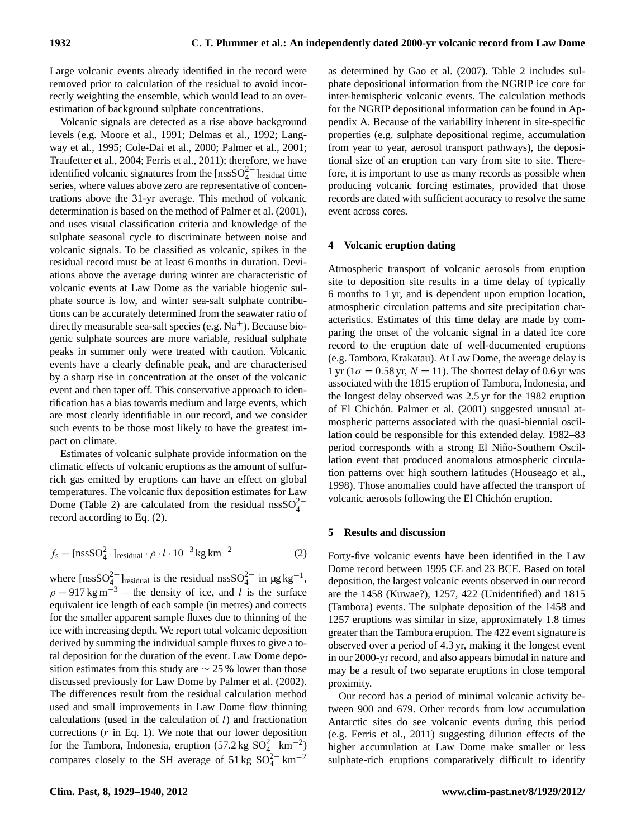Large volcanic events already identified in the record were removed prior to calculation of the residual to avoid incorrectly weighting the ensemble, which would lead to an overestimation of background sulphate concentrations.

Volcanic signals are detected as a rise above background levels (e.g. Moore et al., 1991; Delmas et al., 1992; Langway et al., 1995; Cole-Dai et al., 2000; Palmer et al., 2001; Traufetter et al., 2004; Ferris et al., 2011); therefore, we have identified volcanic signatures from the  $[nssSO_4^{2-}]_{residual}$  time series, where values above zero are representative of concentrations above the 31-yr average. This method of volcanic determination is based on the method of Palmer et al. (2001), and uses visual classification criteria and knowledge of the sulphate seasonal cycle to discriminate between noise and volcanic signals. To be classified as volcanic, spikes in the residual record must be at least 6 months in duration. Deviations above the average during winter are characteristic of volcanic events at Law Dome as the variable biogenic sulphate source is low, and winter sea-salt sulphate contributions can be accurately determined from the seawater ratio of directly measurable sea-salt species (e.g.  $Na<sup>+</sup>$ ). Because biogenic sulphate sources are more variable, residual sulphate peaks in summer only were treated with caution. Volcanic events have a clearly definable peak, and are characterised by a sharp rise in concentration at the onset of the volcanic event and then taper off. This conservative approach to identification has a bias towards medium and large events, which are most clearly identifiable in our record, and we consider such events to be those most likely to have the greatest impact on climate.

Estimates of volcanic sulphate provide information on the climatic effects of volcanic eruptions as the amount of sulfurrich gas emitted by eruptions can have an effect on global temperatures. The volcanic flux deposition estimates for Law Dome (Table 2) are calculated from the residual  $nssSO_4^{2-}$ record according to Eq. (2).

$$
f_s = [\text{nssSO}_4^{2-}]_{\text{residual}} \cdot \rho \cdot l \cdot 10^{-3} \,\text{kg km}^{-2} \tag{2}
$$

where  $[nssSO_4^{2-}]_{residual}$  is the residual  $nssSO_4^{2-}$  in  $\mu$ g kg<sup>-1</sup>,  $\rho = 917 \text{ kg m}^{-3}$  – the density of ice, and l is the surface equivalent ice length of each sample (in metres) and corrects for the smaller apparent sample fluxes due to thinning of the ice with increasing depth. We report total volcanic deposition derived by summing the individual sample fluxes to give a total deposition for the duration of the event. Law Dome deposition estimates from this study are  $\sim$  25 % lower than those discussed previously for Law Dome by Palmer et al. (2002). The differences result from the residual calculation method used and small improvements in Law Dome flow thinning calculations (used in the calculation of  $l$ ) and fractionation corrections  $(r$  in Eq. 1). We note that our lower deposition for the Tambora, Indonesia, eruption (57.2 kg  $SO_4^{2-}$  km<sup>-2</sup>) compares closely to the SH average of 51 kg  $SO_4^{2-}$  km<sup>-2</sup>

as determined by Gao et al. (2007). Table 2 includes sulphate depositional information from the NGRIP ice core for inter-hemispheric volcanic events. The calculation methods for the NGRIP depositional information can be found in Appendix A. Because of the variability inherent in site-specific properties (e.g. sulphate depositional regime, accumulation from year to year, aerosol transport pathways), the depositional size of an eruption can vary from site to site. Therefore, it is important to use as many records as possible when producing volcanic forcing estimates, provided that those records are dated with sufficient accuracy to resolve the same event across cores.

#### **4 Volcanic eruption dating**

Atmospheric transport of volcanic aerosols from eruption site to deposition site results in a time delay of typically 6 months to 1 yr, and is dependent upon eruption location, atmospheric circulation patterns and site precipitation characteristics. Estimates of this time delay are made by comparing the onset of the volcanic signal in a dated ice core record to the eruption date of well-documented eruptions (e.g. Tambora, Krakatau). At Law Dome, the average delay is 1 yr ( $1\sigma = 0.58$  yr,  $N = 11$ ). The shortest delay of 0.6 yr was associated with the 1815 eruption of Tambora, Indonesia, and the longest delay observed was 2.5 yr for the 1982 eruption of El Chichón. Palmer et al. (2001) suggested unusual atmospheric patterns associated with the quasi-biennial oscillation could be responsible for this extended delay. 1982–83 period corresponds with a strong El Niño-Southern Oscillation event that produced anomalous atmospheric circulation patterns over high southern latitudes (Houseago et al., 1998). Those anomalies could have affected the transport of volcanic aerosols following the El Chichón eruption.

#### **5 Results and discussion**

Forty-five volcanic events have been identified in the Law Dome record between 1995 CE and 23 BCE. Based on total deposition, the largest volcanic events observed in our record are the 1458 (Kuwae?), 1257, 422 (Unidentified) and 1815 (Tambora) events. The sulphate deposition of the 1458 and 1257 eruptions was similar in size, approximately 1.8 times greater than the Tambora eruption. The 422 event signature is observed over a period of 4.3 yr, making it the longest event in our 2000-yr record, and also appears bimodal in nature and may be a result of two separate eruptions in close temporal proximity.

Our record has a period of minimal volcanic activity between 900 and 679. Other records from low accumulation Antarctic sites do see volcanic events during this period (e.g. Ferris et al., 2011) suggesting dilution effects of the higher accumulation at Law Dome make smaller or less sulphate-rich eruptions comparatively difficult to identify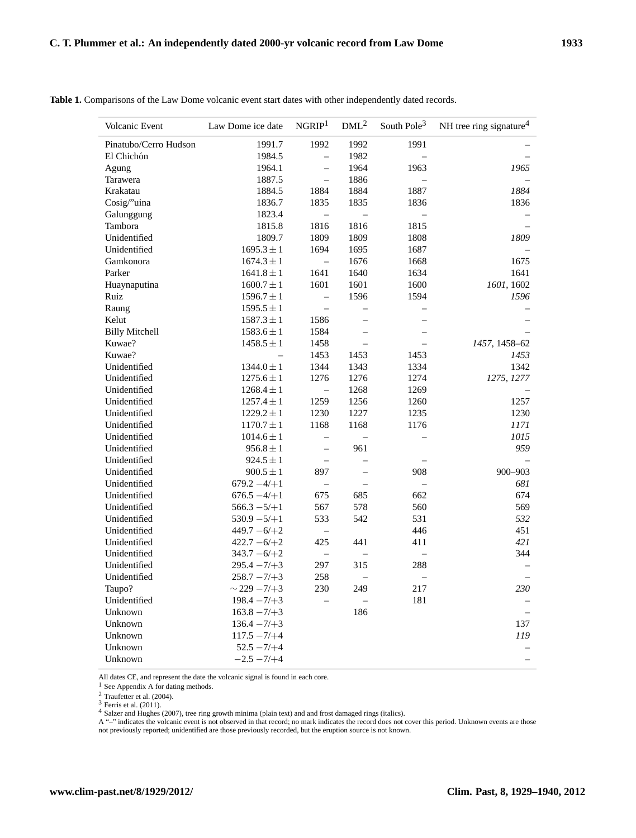| Volcanic Event        | Law Dome ice date  | NGRIP <sup>1</sup>       | DML <sup>2</sup>  | South Pole <sup>3</sup> | NH tree ring signature <sup>4</sup> |
|-----------------------|--------------------|--------------------------|-------------------|-------------------------|-------------------------------------|
| Pinatubo/Cerro Hudson | 1991.7             | 1992                     | 1992              | 1991                    |                                     |
| El Chichón            | 1984.5             | $\qquad \qquad -$        | 1982              |                         |                                     |
| Agung                 | 1964.1             | $\equiv$                 | 1964              | 1963                    | 1965                                |
| Tarawera              | 1887.5             | $\overline{\phantom{0}}$ | 1886              |                         |                                     |
| Krakatau              | 1884.5             | 1884                     | 1884              | 1887                    | 1884                                |
| Cosig/"uina           | 1836.7             | 1835                     | 1835              | 1836                    | 1836                                |
| Galunggung            | 1823.4             | $\qquad \qquad -$        | $\qquad \qquad -$ | $\equiv$                |                                     |
| Tambora               | 1815.8             | 1816                     | 1816              | 1815                    |                                     |
| Unidentified          | 1809.7             | 1809                     | 1809              | 1808                    | 1809                                |
| Unidentified          | $1695.3 \pm 1$     | 1694                     | 1695              | 1687                    |                                     |
| Gamkonora             | $1674.3 \pm 1$     | $\equiv$                 | 1676              | 1668                    | 1675                                |
| Parker                | $1641.8 \pm 1$     | 1641                     | 1640              | 1634                    | 1641                                |
| Huaynaputina          | $1600.7 \pm 1$     | 1601                     | 1601              | 1600                    | 1601, 1602                          |
| Ruiz                  | $1596.7 \pm 1$     | $\overline{\phantom{0}}$ | 1596              | 1594                    | 1596                                |
| Raung                 | $1595.5 \pm 1$     | $\equiv$                 |                   |                         |                                     |
| Kelut                 | $1587.3 \pm 1$     | 1586                     | $\equiv$          | $\overline{a}$          |                                     |
| <b>Billy Mitchell</b> | $1583.6 \pm 1$     | 1584                     | $\equiv$          |                         |                                     |
| Kuwae?                | $1458.5 \pm 1$     | 1458                     | $\equiv$          | $\equiv$                | 1457, 1458-62                       |
| Kuwae?                | $\equiv$           | 1453                     | 1453              | 1453                    | 1453                                |
| Unidentified          | $1344.0 \pm 1$     | 1344                     | 1343              | 1334                    | 1342                                |
| Unidentified          | $1275.6 \pm 1$     | 1276                     | 1276              | 1274                    | 1275, 1277                          |
| Unidentified          | $1268.4 \pm 1$     | $\overline{\phantom{m}}$ | 1268              | 1269                    |                                     |
| Unidentified          | $1257.4 \pm 1$     | 1259                     | 1256              | 1260                    | 1257                                |
| Unidentified          | $1229.2 \pm 1$     | 1230                     | 1227              | 1235                    | 1230                                |
| Unidentified          | $1170.7 \pm 1$     | 1168                     | 1168              | 1176                    | 1171                                |
| Unidentified          | $1014.6 \pm 1$     | $\qquad \qquad -$        |                   |                         | 1015                                |
| Unidentified          | $956.8 \pm 1$      | $\equiv$                 | 961               |                         | 959                                 |
| Unidentified          | $924.5 \pm 1$      | $\overline{\phantom{m}}$ | $\qquad \qquad -$ |                         |                                     |
| Unidentified          | $900.5 \pm 1$      | 897                      | $\equiv$          | 908                     | 900-903                             |
| Unidentified          | $679.2 - 4/ + 1$   | $\equiv$                 | $\frac{1}{2}$     |                         | 681                                 |
| Unidentified          | $676.5 - 4/ + 1$   | 675                      | 685               | 662                     | 674                                 |
| Unidentified          | $566.3 - 5/ + 1$   | 567                      | 578               | 560                     | 569                                 |
| Unidentified          | $530.9 - 5/ + 1$   | 533                      | 542               | 531                     | 532                                 |
| Unidentified          | $449.7 - 6/ + 2$   | $\overline{\phantom{m}}$ |                   | 446                     | 451                                 |
| Unidentified          | $422.7 - 6/ + 2$   | 425                      | 441               | 411                     | 421                                 |
| Unidentified          | $343.7 - 6/ + 2$   | $\overline{\phantom{m}}$ |                   |                         | 344                                 |
| Unidentified          | $295.4 - 7/ + 3$   | 297                      | 315               | 288                     |                                     |
| Unidentified          | $258.7 - 7/ + 3$   | 258                      | $\qquad \qquad -$ |                         |                                     |
| Taupo?                | $\sim$ 229 $-7/+3$ | 230                      | 249               | 217                     | 230                                 |
| Unidentified          | $198.4 - 7/ + 3$   | $\qquad \qquad -$        | $\equiv$          | 181                     |                                     |
| Unknown               | $163.8 - 7/ + 3$   |                          | 186               |                         |                                     |
| Unknown               | $136.4 - 7/ + 3$   |                          |                   |                         | 137                                 |
| Unknown               | $117.5 - 7/ + 4$   |                          |                   |                         | 119                                 |
| Unknown               | $52.5 - 7/ + 4$    |                          |                   |                         |                                     |
|                       |                    |                          |                   |                         |                                     |

**Table 1.** Comparisons of the Law Dome volcanic event start dates with other independently dated records.

All dates CE, and represent the date the volcanic signal is found in each core.

<sup>1</sup> See Appendix A for dating methods.

 $2$  Traufetter et al. (2004).

 $3$  Ferris et al. (2011).

<sup>4</sup> Salzer and Hughes (2007), tree ring growth minima (plain text) and and frost damaged rings (italics).<br>A "--" indicates the volcanic event is not observed in that record; no mark indicates the record does not cover this not previously reported; unidentified are those previously recorded, but the eruption source is not known.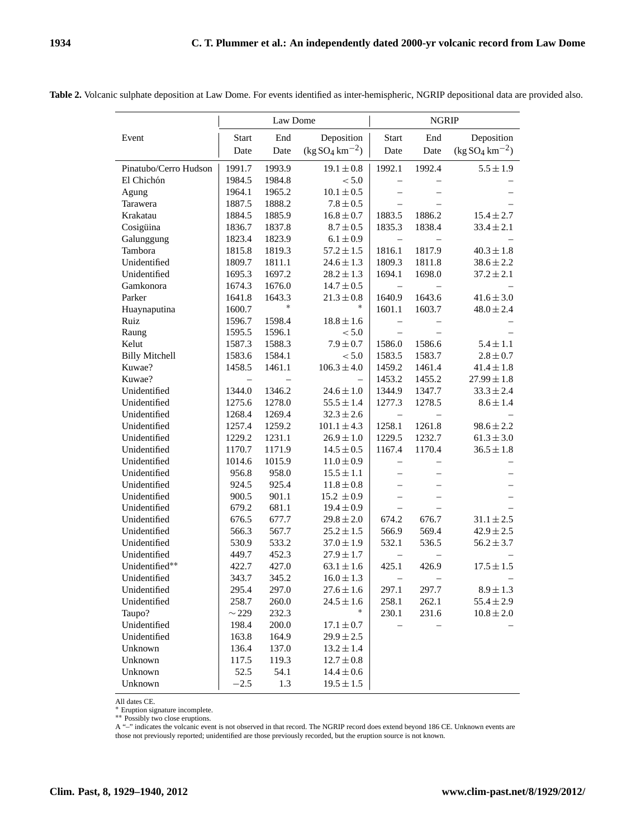|                       | Law Dome             |             |                               | <b>NGRIP</b>      |             |                               |  |
|-----------------------|----------------------|-------------|-------------------------------|-------------------|-------------|-------------------------------|--|
| Event                 | <b>Start</b><br>Date | End<br>Date | Deposition<br>$(kg SO4 km-2)$ | Start<br>Date     | End<br>Date | Deposition<br>$(kg SO4 km-2)$ |  |
| Pinatubo/Cerro Hudson | 1991.7               | 1993.9      | $19.1 \pm 0.8$                | 1992.1            | 1992.4      | $5.5 \pm 1.9$                 |  |
| El Chichón            | 1984.5               | 1984.8      | < 5.0                         |                   |             |                               |  |
| Agung                 | 1964.1               | 1965.2      | $10.1 \pm 0.5$                |                   |             |                               |  |
| Tarawera              | 1887.5               | 1888.2      | $7.8 \pm 0.5$                 |                   |             |                               |  |
| Krakatau              | 1884.5               | 1885.9      | $16.8 \pm 0.7$                | 1883.5            | 1886.2      | $15.4 \pm 2.7$                |  |
| Cosigüina             | 1836.7               | 1837.8      | $8.7 \pm 0.5$                 | 1835.3            | 1838.4      | $33.4 \pm 2.1$                |  |
| Galunggung            | 1823.4               | 1823.9      | $6.1 \pm 0.9$                 |                   |             |                               |  |
| Tambora               | 1815.8               | 1819.3      | $57.2 \pm 1.5$                | 1816.1            | 1817.9      | $40.3 \pm 1.8$                |  |
| Unidentified          | 1809.7               | 1811.1      | $24.6 \pm 1.3$                | 1809.3            | 1811.8      | $38.6 \pm 2.2$                |  |
| Unidentified          | 1695.3               | 1697.2      | $28.2 \pm 1.3$                | 1694.1            | 1698.0      | $37.2 \pm 2.1$                |  |
| Gamkonora             | 1674.3               | 1676.0      | $14.7 \pm 0.5$                |                   |             |                               |  |
| Parker                | 1641.8               | 1643.3      | $21.3 \pm 0.8$                | 1640.9            | 1643.6      | $41.6 \pm 3.0$                |  |
| Huaynaputina          | 1600.7               | *           |                               | 1601.1            | 1603.7      | $48.0 \pm 2.4$                |  |
| Ruiz                  | 1596.7               | 1598.4      | $18.8 \pm 1.6$                |                   |             |                               |  |
| Raung                 | 1595.5               | 1596.1      | < 5.0                         |                   |             |                               |  |
| Kelut                 | 1587.3               | 1588.3      | $7.9 \pm 0.7$                 | 1586.0            | 1586.6      | $5.4 \pm 1.1$                 |  |
| <b>Billy Mitchell</b> | 1583.6               | 1584.1      | < 5.0                         | 1583.5            | 1583.7      | $2.8 \pm 0.7$                 |  |
| Kuwae?                | 1458.5               | 1461.1      | $106.3 \pm 4.0$               | 1459.2            | 1461.4      | $41.4 \pm 1.8$                |  |
| Kuwae?                |                      |             |                               | 1453.2            | 1455.2      | $27.99 \pm 1.8$               |  |
| Unidentified          | 1344.0               | 1346.2      | $24.6 \pm 1.0$                | 1344.9            | 1347.7      | $33.3 \pm 2.4$                |  |
| Unidentified          | 1275.6               | 1278.0      | $55.5 \pm 1.4$                | 1277.3            | 1278.5      | $8.6 \pm 1.4$                 |  |
| Unidentified          | 1268.4               | 1269.4      | $32.3 \pm 2.6$                |                   |             |                               |  |
| Unidentified          | 1257.4               | 1259.2      | $101.1 \pm 4.3$               | 1258.1            | 1261.8      | $98.6 \pm 2.2$                |  |
| Unidentified          | 1229.2               | 1231.1      | $26.9 \pm 1.0$                | 1229.5            | 1232.7      | $61.3 \pm 3.0$                |  |
| Unidentified          | 1170.7               | 1171.9      | $14.5 \pm 0.5$                | 1167.4            | 1170.4      | $36.5 \pm 1.8$                |  |
| Unidentified          | 1014.6               | 1015.9      | $11.0 \pm 0.9$                |                   |             |                               |  |
| Unidentified          | 956.8                | 958.0       | $15.5 \pm 1.1$                |                   |             |                               |  |
| Unidentified          | 924.5                | 925.4       | $11.8 \pm 0.8$                |                   |             |                               |  |
| Unidentified          | 900.5                | 901.1       | $15.2 \pm 0.9$                |                   |             |                               |  |
| Unidentified          | 679.2                | 681.1       | $19.4 \pm 0.9$                |                   |             |                               |  |
| Unidentified          | 676.5                | 677.7       | $29.8 \pm 2.0$                | 674.2             | 676.7       | $31.1 \pm 2.5$                |  |
| Unidentified          | 566.3                | 567.7       | $25.2 \pm 1.5$                | 566.9             | 569.4       | $42.9 \pm 2.5$                |  |
| Unidentified          | 530.9                | 533.2       | $37.0 \pm 1.9$                | 532.1             | 536.5       | $56.2 \pm 3.7$                |  |
| Unidentified          | 449.7                | 452.3       | $27.9 \pm 1.7$                | $\equiv$          |             |                               |  |
| Unidentified**        | 422.7                | 427.0       | $63.1 \pm 1.6$                | 425.1             | 426.9       | $17.5 \pm 1.5$                |  |
| Unidentified          | 343.7                | 345.2       | $16.0 \pm 1.3$                | $\qquad \qquad -$ |             |                               |  |
| Unidentified          | 295.4                | 297.0       | $27.6 \pm 1.6$                | 297.1             | 297.7       | $8.9\pm1.3$                   |  |
| Unidentified          | 258.7                | 260.0       | $24.5 \pm 1.6$                | 258.1             | 262.1       | $55.4 \pm 2.9$                |  |
| Taupo?                | $\sim$ 229 $\,$      | 232.3       |                               | 230.1             | 231.6       | $10.8 \pm 2.0$                |  |
| Unidentified          | 198.4                | 200.0       | $17.1 \pm 0.7$                |                   |             |                               |  |
| Unidentified          | 163.8                | 164.9       | $29.9 \pm 2.5$                |                   |             |                               |  |
| Unknown               | 136.4                | 137.0       | $13.2 \pm 1.4$                |                   |             |                               |  |
| Unknown               | 117.5                | 119.3       | $12.7 \pm 0.8$                |                   |             |                               |  |
| Unknown               | 52.5                 | 54.1        | $14.4 \pm 0.6$                |                   |             |                               |  |
| Unknown               | $-2.5$               | 1.3         | $19.5 \pm 1.5$                |                   |             |                               |  |

**Table 2.** Volcanic sulphate deposition at Law Dome. For events identified as inter-hemispheric, NGRIP depositional data are provided also.

All dates CE. <sup>∗</sup> Eruption signature incomplete.

\*\* Possibly two close eruptions.<br>A "-" indicates the volcanic event is not observed in that record. The NGRIP record does extend beyond 186 CE. Unknown events are<br>those not previously reported; unidentified are those previ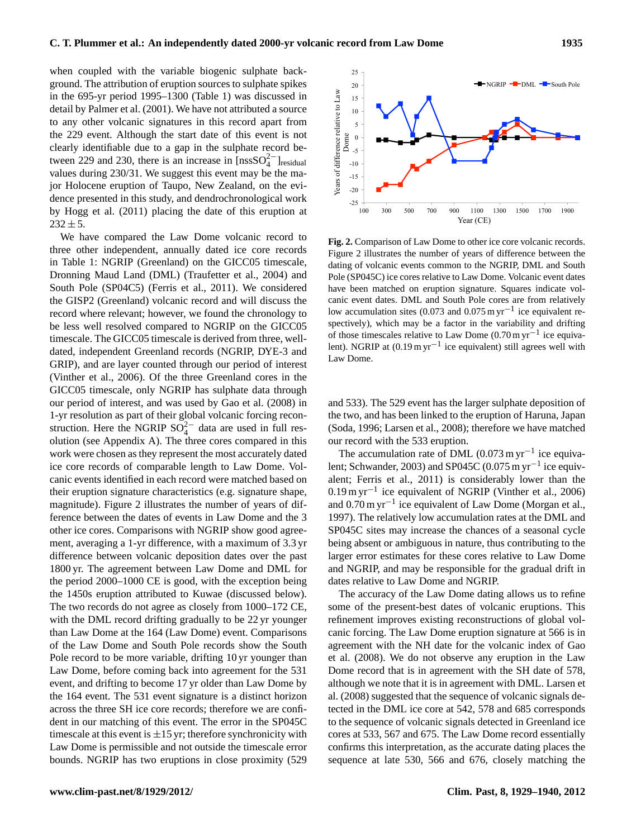when coupled with the variable biogenic sulphate background. The attribution of eruption sources to sulphate spikes in the 695-yr period 1995–1300 (Table 1) was discussed in detail by Palmer et al. (2001). We have not attributed a source to any other volcanic signatures in this record apart from the 229 event. Although the start date of this event is not clearly identifiable due to a gap in the sulphate record between 229 and 230, there is an increase in  $[\text{nssSO}_4^{2-}]_{\text{residual}}$ values during 230/31. We suggest this event may be the major Holocene eruption of Taupo, New Zealand, on the evidence presented in this study, and dendrochronological work by Hogg et al. (2011) placing the date of this eruption at  $232 \pm 5.$ 

We have compared the Law Dome volcanic record to three other independent, annually dated ice core records in Table 1: NGRIP (Greenland) on the GICC05 timescale, Dronning Maud Land (DML) (Traufetter et al., 2004) and South Pole (SP04C5) (Ferris et al., 2011). We considered the GISP2 (Greenland) volcanic record and will discuss the record where relevant; however, we found the chronology to be less well resolved compared to NGRIP on the GICC05 timescale. The GICC05 timescale is derived from three, welldated, independent Greenland records (NGRIP, DYE-3 and GRIP), and are layer counted through our period of interest (Vinther et al., 2006). Of the three Greenland cores in the GICC05 timescale, only NGRIP has sulphate data through our period of interest, and was used by Gao et al. (2008) in 1-yr resolution as part of their global volcanic forcing reconstruction. Here the NGRIP  $SO_4^{2-}$  data are used in full resolution (see Appendix A). The three cores compared in this work were chosen as they represent the most accurately dated ice core records of comparable length to Law Dome. Volcanic events identified in each record were matched based on their eruption signature characteristics (e.g. signature shape, magnitude). Figure 2 illustrates the number of years of difference between the dates of events in Law Dome and the 3 other ice cores. Comparisons with NGRIP show good agreement, averaging a 1-yr difference, with a maximum of 3.3 yr difference between volcanic deposition dates over the past 1800 yr. The agreement between Law Dome and DML for the period 2000–1000 CE is good, with the exception being the 1450s eruption attributed to Kuwae (discussed below). The two records do not agree as closely from 1000–172 CE, with the DML record drifting gradually to be 22 yr younger than Law Dome at the 164 (Law Dome) event. Comparisons of the Law Dome and South Pole records show the South Pole record to be more variable, drifting 10 yr younger than Law Dome, before coming back into agreement for the 531 event, and drifting to become 17 yr older than Law Dome by the 164 event. The 531 event signature is a distinct horizon across the three SH ice core records; therefore we are confident in our matching of this event. The error in the SP045C timescale at this event is  $\pm 15$  yr; therefore synchronicity with Law Dome is permissible and not outside the timescale error bounds. NGRIP has two eruptions in close proximity (529

25  $\blacksquare$ NGRIP  $\blacksquare$ TDML  $\blacksquare$ South Pole 20 Years of difference relative to Law Years of difference relative to Law 15 10 5 Dome 0 -5 -10 -15 -20  $-25 + 100$ 100 300 500 700 900 1100 1300 1500 1700 1900 Year (CE)

**Fig. 2.** Comparison of Law Dome to other ice core volcanic records. Figure 2 illustrates the number of years of difference between the dating of volcanic events common to the NGRIP, DML and South Pole (SP045C) ice cores relative to Law Dome. Volcanic event dates have been matched on eruption signature. Squares indicate volcanic event dates. DML and South Pole cores are from relatively low accumulation sites (0.073 and 0.075 m yr<sup>-1</sup> ice equivalent respectively), which may be a factor in the variability and drifting of those timescales relative to Law Dome (0.70 m yr−<sup>1</sup> ice equivalent). NGRIP at (0.19 m yr−<sup>1</sup> ice equivalent) still agrees well with Law Dome.

and 533). The 529 event has the larger sulphate deposition of the two, and has been linked to the eruption of Haruna, Japan (Soda, 1996; Larsen et al., 2008); therefore we have matched our record with the 533 eruption.

The accumulation rate of DML  $(0.073 \text{ m yr}^{-1})$  ice equivalent; Schwander, 2003) and SP045C (0.075 m yr<sup>-1</sup> ice equivalent; Ferris et al., 2011) is considerably lower than the 0.19 m yr−<sup>1</sup> ice equivalent of NGRIP (Vinther et al., 2006) and 0.70 m yr−<sup>1</sup> ice equivalent of Law Dome (Morgan et al., 1997). The relatively low accumulation rates at the DML and SP045C sites may increase the chances of a seasonal cycle being absent or ambiguous in nature, thus contributing to the larger error estimates for these cores relative to Law Dome and NGRIP, and may be responsible for the gradual drift in dates relative to Law Dome and NGRIP.

The accuracy of the Law Dome dating allows us to refine some of the present-best dates of volcanic eruptions. This refinement improves existing reconstructions of global volcanic forcing. The Law Dome eruption signature at 566 is in agreement with the NH date for the volcanic index of Gao et al. (2008). We do not observe any eruption in the Law Dome record that is in agreement with the SH date of 578, although we note that it is in agreement with DML. Larsen et al. (2008) suggested that the sequence of volcanic signals detected in the DML ice core at 542, 578 and 685 corresponds to the sequence of volcanic signals detected in Greenland ice cores at 533, 567 and 675. The Law Dome record essentially confirms this interpretation, as the accurate dating places the sequence at late 530, 566 and 676, closely matching the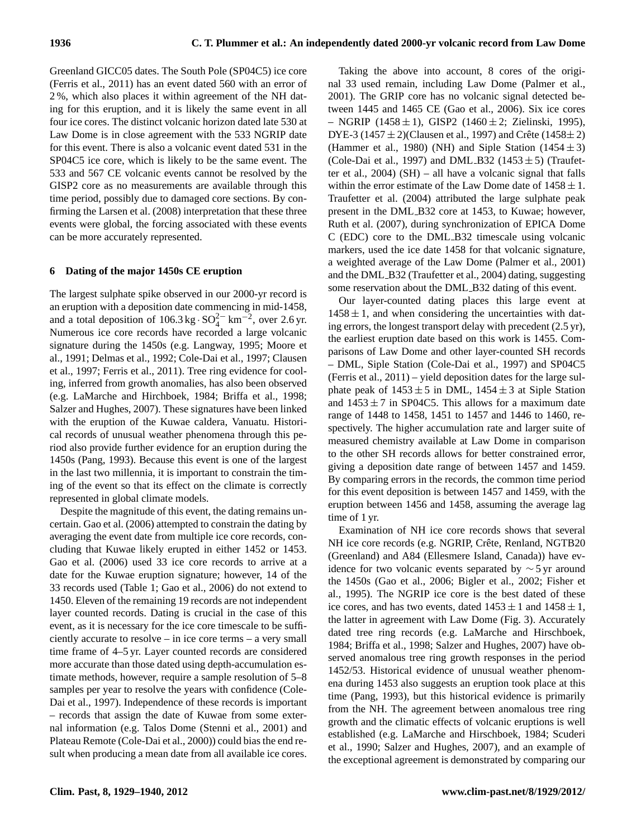Greenland GICC05 dates. The South Pole (SP04C5) ice core (Ferris et al., 2011) has an event dated 560 with an error of 2 %, which also places it within agreement of the NH dating for this eruption, and it is likely the same event in all four ice cores. The distinct volcanic horizon dated late 530 at Law Dome is in close agreement with the 533 NGRIP date for this event. There is also a volcanic event dated 531 in the SP04C5 ice core, which is likely to be the same event. The 533 and 567 CE volcanic events cannot be resolved by the GISP2 core as no measurements are available through this time period, possibly due to damaged core sections. By confirming the Larsen et al. (2008) interpretation that these three events were global, the forcing associated with these events can be more accurately represented.

### **6 Dating of the major 1450s CE eruption**

The largest sulphate spike observed in our 2000-yr record is an eruption with a deposition date commencing in mid-1458, and a total deposition of  $106.3 \text{ kg} \cdot \text{SO}_4^{2-} \text{ km}^{-2}$ , over 2.6 yr. Numerous ice core records have recorded a large volcanic signature during the 1450s (e.g. Langway, 1995; Moore et al., 1991; Delmas et al., 1992; Cole-Dai et al., 1997; Clausen et al., 1997; Ferris et al., 2011). Tree ring evidence for cooling, inferred from growth anomalies, has also been observed (e.g. LaMarche and Hirchboek, 1984; Briffa et al., 1998; Salzer and Hughes, 2007). These signatures have been linked with the eruption of the Kuwae caldera, Vanuatu. Historical records of unusual weather phenomena through this period also provide further evidence for an eruption during the 1450s (Pang, 1993). Because this event is one of the largest in the last two millennia, it is important to constrain the timing of the event so that its effect on the climate is correctly represented in global climate models.

Despite the magnitude of this event, the dating remains uncertain. Gao et al. (2006) attempted to constrain the dating by averaging the event date from multiple ice core records, concluding that Kuwae likely erupted in either 1452 or 1453. Gao et al. (2006) used 33 ice core records to arrive at a date for the Kuwae eruption signature; however, 14 of the 33 records used (Table 1; Gao et al., 2006) do not extend to 1450. Eleven of the remaining 19 records are not independent layer counted records. Dating is crucial in the case of this event, as it is necessary for the ice core timescale to be sufficiently accurate to resolve – in ice core terms – a very small time frame of 4–5 yr. Layer counted records are considered more accurate than those dated using depth-accumulation estimate methods, however, require a sample resolution of 5–8 samples per year to resolve the years with confidence (Cole-Dai et al., 1997). Independence of these records is important – records that assign the date of Kuwae from some external information (e.g. Talos Dome (Stenni et al., 2001) and Plateau Remote (Cole-Dai et al., 2000)) could bias the end result when producing a mean date from all available ice cores.

Taking the above into account, 8 cores of the original 33 used remain, including Law Dome (Palmer et al., 2001). The GRIP core has no volcanic signal detected between 1445 and 1465 CE (Gao et al., 2006). Six ice cores – NGRIP (1458 $\pm$ 1), GISP2 (1460 $\pm$ 2; Zielinski, 1995), DYE-3 (1457  $\pm$  2)(Clausen et al., 1997) and Crête (1458 $\pm$  2) (Hammer et al., 1980) (NH) and Siple Station  $(1454 \pm 3)$ (Cole-Dai et al., 1997) and DML\_B32 (1453  $\pm$  5) (Traufetter et al., 2004) (SH) – all have a volcanic signal that falls within the error estimate of the Law Dome date of  $1458 \pm 1$ . Traufetter et al. (2004) attributed the large sulphate peak present in the DML B32 core at 1453, to Kuwae; however, Ruth et al. (2007), during synchronization of EPICA Dome C (EDC) core to the DML B32 timescale using volcanic markers, used the ice date 1458 for that volcanic signature, a weighted average of the Law Dome (Palmer et al., 2001) and the DML B32 (Traufetter et al., 2004) dating, suggesting some reservation about the DML B32 dating of this event.

Our layer-counted dating places this large event at  $1458 \pm 1$ , and when considering the uncertainties with dating errors, the longest transport delay with precedent (2.5 yr), the earliest eruption date based on this work is 1455. Comparisons of Law Dome and other layer-counted SH records – DML, Siple Station (Cole-Dai et al., 1997) and SP04C5 (Ferris et al., 2011) – yield deposition dates for the large sulphate peak of  $1453 \pm 5$  in DML,  $1454 \pm 3$  at Siple Station and  $1453 \pm 7$  in SP04C5. This allows for a maximum date range of 1448 to 1458, 1451 to 1457 and 1446 to 1460, respectively. The higher accumulation rate and larger suite of measured chemistry available at Law Dome in comparison to the other SH records allows for better constrained error, giving a deposition date range of between 1457 and 1459. By comparing errors in the records, the common time period for this event deposition is between 1457 and 1459, with the eruption between 1456 and 1458, assuming the average lag time of 1 yr.

Examination of NH ice core records shows that several NH ice core records (e.g. NGRIP, Crête, Renland, NGTB20 (Greenland) and A84 (Ellesmere Island, Canada)) have evidence for two volcanic events separated by  $\sim$  5 yr around the 1450s (Gao et al., 2006; Bigler et al., 2002; Fisher et al., 1995). The NGRIP ice core is the best dated of these ice cores, and has two events, dated  $1453 \pm 1$  and  $1458 \pm 1$ , the latter in agreement with Law Dome (Fig. 3). Accurately dated tree ring records (e.g. LaMarche and Hirschboek, 1984; Briffa et al., 1998; Salzer and Hughes, 2007) have observed anomalous tree ring growth responses in the period 1452/53. Historical evidence of unusual weather phenomena during 1453 also suggests an eruption took place at this time (Pang, 1993), but this historical evidence is primarily from the NH. The agreement between anomalous tree ring growth and the climatic effects of volcanic eruptions is well established (e.g. LaMarche and Hirschboek, 1984; Scuderi et al., 1990; Salzer and Hughes, 2007), and an example of the exceptional agreement is demonstrated by comparing our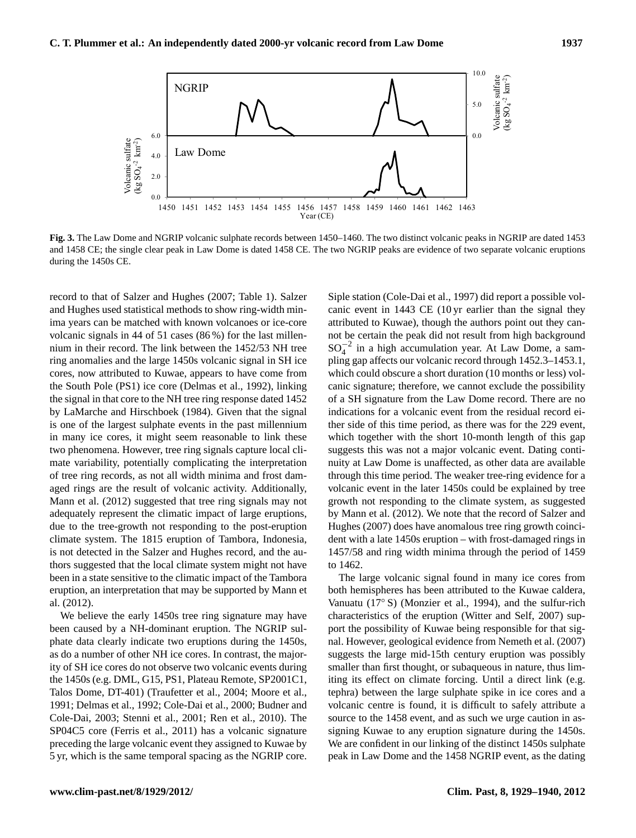

**Fig. 3.** The Law Dome and NGRIP volcanic sulphate records between 1450–1460. The two distinct volcanic peaks in NGRIP are dated 1453 and 1458 CE; the single clear peak in Law Dome is dated 1458 CE. The two NGRIP peaks are evidence of two separate volcanic eruptions during the 1450s CE.

record to that of Salzer and Hughes (2007; Table 1). Salzer and Hughes used statistical methods to show ring-width minima years can be matched with known volcanoes or ice-core volcanic signals in 44 of 51 cases (86 %) for the last millennium in their record. The link between the 1452/53 NH tree ring anomalies and the large 1450s volcanic signal in SH ice cores, now attributed to Kuwae, appears to have come from the South Pole (PS1) ice core (Delmas et al., 1992), linking the signal in that core to the NH tree ring response dated 1452 by LaMarche and Hirschboek (1984). Given that the signal is one of the largest sulphate events in the past millennium in many ice cores, it might seem reasonable to link these two phenomena. However, tree ring signals capture local climate variability, potentially complicating the interpretation of tree ring records, as not all width minima and frost damaged rings are the result of volcanic activity. Additionally, Mann et al. (2012) suggested that tree ring signals may not adequately represent the climatic impact of large eruptions, due to the tree-growth not responding to the post-eruption climate system. The 1815 eruption of Tambora, Indonesia, is not detected in the Salzer and Hughes record, and the authors suggested that the local climate system might not have been in a state sensitive to the climatic impact of the Tambora eruption, an interpretation that may be supported by Mann et al. (2012).

We believe the early 1450s tree ring signature may have been caused by a NH-dominant eruption. The NGRIP sulphate data clearly indicate two eruptions during the 1450s, as do a number of other NH ice cores. In contrast, the majority of SH ice cores do not observe two volcanic events during the 1450s (e.g. DML, G15, PS1, Plateau Remote, SP2001C1, Talos Dome, DT-401) (Traufetter et al., 2004; Moore et al., 1991; Delmas et al., 1992; Cole-Dai et al., 2000; Budner and Cole-Dai, 2003; Stenni et al., 2001; Ren et al., 2010). The SP04C5 core (Ferris et al., 2011) has a volcanic signature preceding the large volcanic event they assigned to Kuwae by 5 yr, which is the same temporal spacing as the NGRIP core. Siple station (Cole-Dai et al., 1997) did report a possible volcanic event in 1443 CE (10 yr earlier than the signal they attributed to Kuwae), though the authors point out they cannot be certain the peak did not result from high background  $SO_4^{-2}$  in a high accumulation year. At Law Dome, a sampling gap affects our volcanic record through 1452.3–1453.1, which could obscure a short duration (10 months or less) volcanic signature; therefore, we cannot exclude the possibility of a SH signature from the Law Dome record. There are no indications for a volcanic event from the residual record either side of this time period, as there was for the 229 event, which together with the short 10-month length of this gap suggests this was not a major volcanic event. Dating continuity at Law Dome is unaffected, as other data are available through this time period. The weaker tree-ring evidence for a volcanic event in the later 1450s could be explained by tree growth not responding to the climate system, as suggested by Mann et al. (2012). We note that the record of Salzer and Hughes (2007) does have anomalous tree ring growth coincident with a late 1450s eruption – with frost-damaged rings in 1457/58 and ring width minima through the period of 1459 to 1462.

The large volcanic signal found in many ice cores from both hemispheres has been attributed to the Kuwae caldera, Vanuatu (17◦ S) (Monzier et al., 1994), and the sulfur-rich characteristics of the eruption (Witter and Self, 2007) support the possibility of Kuwae being responsible for that signal. However, geological evidence from Nemeth et al. (2007) suggests the large mid-15th century eruption was possibly smaller than first thought, or subaqueous in nature, thus limiting its effect on climate forcing. Until a direct link (e.g. tephra) between the large sulphate spike in ice cores and a volcanic centre is found, it is difficult to safely attribute a source to the 1458 event, and as such we urge caution in assigning Kuwae to any eruption signature during the 1450s. We are confident in our linking of the distinct 1450s sulphate peak in Law Dome and the 1458 NGRIP event, as the dating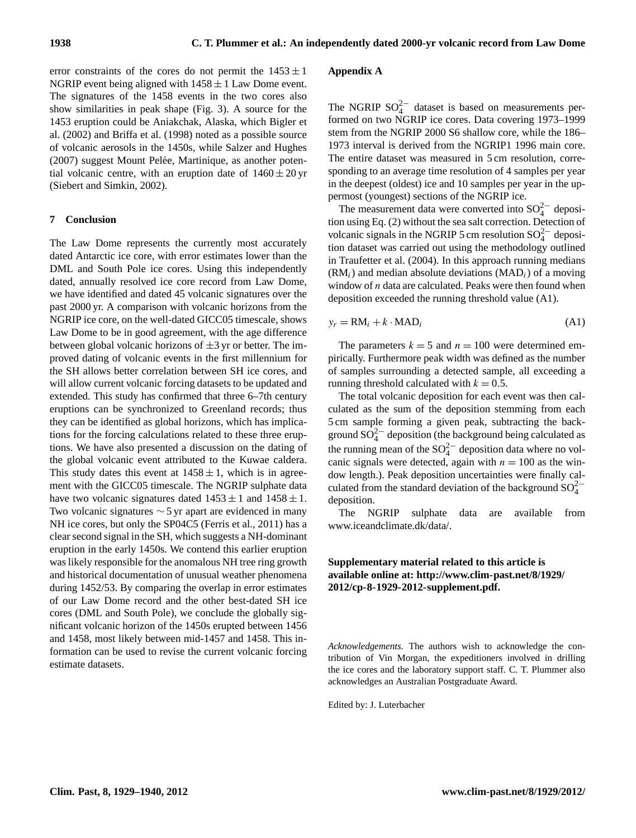error constraints of the cores do not permit the  $1453 \pm 1$ NGRIP event being aligned with  $1458 \pm 1$  Law Dome event. The signatures of the 1458 events in the two cores also show similarities in peak shape (Fig. 3). A source for the 1453 eruption could be Aniakchak, Alaska, which Bigler et al. (2002) and Briffa et al. (1998) noted as a possible source of volcanic aerosols in the 1450s, while Salzer and Hughes  $(2007)$  suggest Mount Pelée, Martinique, as another potential volcanic centre, with an eruption date of  $1460 \pm 20$  yr (Siebert and Simkin, 2002).

# **7 Conclusion**

The Law Dome represents the currently most accurately dated Antarctic ice core, with error estimates lower than the DML and South Pole ice cores. Using this independently dated, annually resolved ice core record from Law Dome, we have identified and dated 45 volcanic signatures over the past 2000 yr. A comparison with volcanic horizons from the NGRIP ice core, on the well-dated GICC05 timescale, shows Law Dome to be in good agreement, with the age difference between global volcanic horizons of  $\pm 3$  yr or better. The improved dating of volcanic events in the first millennium for the SH allows better correlation between SH ice cores, and will allow current volcanic forcing datasets to be updated and extended. This study has confirmed that three 6–7th century eruptions can be synchronized to Greenland records; thus they can be identified as global horizons, which has implications for the forcing calculations related to these three eruptions. We have also presented a discussion on the dating of the global volcanic event attributed to the Kuwae caldera. This study dates this event at  $1458 \pm 1$ , which is in agreement with the GICC05 timescale. The NGRIP sulphate data have two volcanic signatures dated  $1453 \pm 1$  and  $1458 \pm 1$ . Two volcanic signatures ∼ 5 yr apart are evidenced in many NH ice cores, but only the SP04C5 (Ferris et al., 2011) has a clear second signal in the SH, which suggests a NH-dominant eruption in the early 1450s. We contend this earlier eruption was likely responsible for the anomalous NH tree ring growth and historical documentation of unusual weather phenomena during 1452/53. By comparing the overlap in error estimates of our Law Dome record and the other best-dated SH ice cores (DML and South Pole), we conclude the globally significant volcanic horizon of the 1450s erupted between 1456 and 1458, most likely between mid-1457 and 1458. This information can be used to revise the current volcanic forcing estimate datasets.

# **Appendix A**

The NGRIP  $SO_4^{2-}$  dataset is based on measurements performed on two NGRIP ice cores. Data covering 1973–1999 stem from the NGRIP 2000 S6 shallow core, while the 186– 1973 interval is derived from the NGRIP1 1996 main core. The entire dataset was measured in 5 cm resolution, corresponding to an average time resolution of 4 samples per year in the deepest (oldest) ice and 10 samples per year in the uppermost (youngest) sections of the NGRIP ice.

The measurement data were converted into  $SO_4^{2-}$  deposition using Eq. (2) without the sea salt correction. Detection of volcanic signals in the NGRIP 5 cm resolution  $SO_4^{2-}$  deposition dataset was carried out using the methodology outlined in Traufetter et al. (2004). In this approach running medians  $(RM_i)$  and median absolute deviations  $(MAD_i)$  of a moving window of  $n$  data are calculated. Peaks were then found when deposition exceeded the running threshold value (A1).

$$
y_r = \text{RM}_i + k \cdot \text{MAD}_i \tag{A1}
$$

The parameters  $k = 5$  and  $n = 100$  were determined empirically. Furthermore peak width was defined as the number of samples surrounding a detected sample, all exceeding a running threshold calculated with  $k = 0.5$ .

The total volcanic deposition for each event was then calculated as the sum of the deposition stemming from each 5 cm sample forming a given peak, subtracting the background  $SO_4^{2-}$  deposition (the background being calculated as the running mean of the  $SO_4^{2-}$  deposition data where no volcanic signals were detected, again with  $n = 100$  as the window length.). Peak deposition uncertainties were finally calculated from the standard deviation of the background  $SO_4^{2-}$ deposition.

The NGRIP sulphate data are available from [www.iceandclimate.dk/data/.](www.iceandclimate.dk/data/)

# **Supplementary material related to this article is available online at: [http://www.clim-past.net/8/1929/](http://www.clim-past.net/8/1929/2012/cp-8-1929-2012-supplement.pdf) [2012/cp-8-1929-2012-supplement.pdf.](http://www.clim-past.net/8/1929/2012/cp-8-1929-2012-supplement.pdf)**

*Acknowledgements.* The authors wish to acknowledge the contribution of Vin Morgan, the expeditioners involved in drilling the ice cores and the laboratory support staff. C. T. Plummer also acknowledges an Australian Postgraduate Award.

Edited by: J. Luterbacher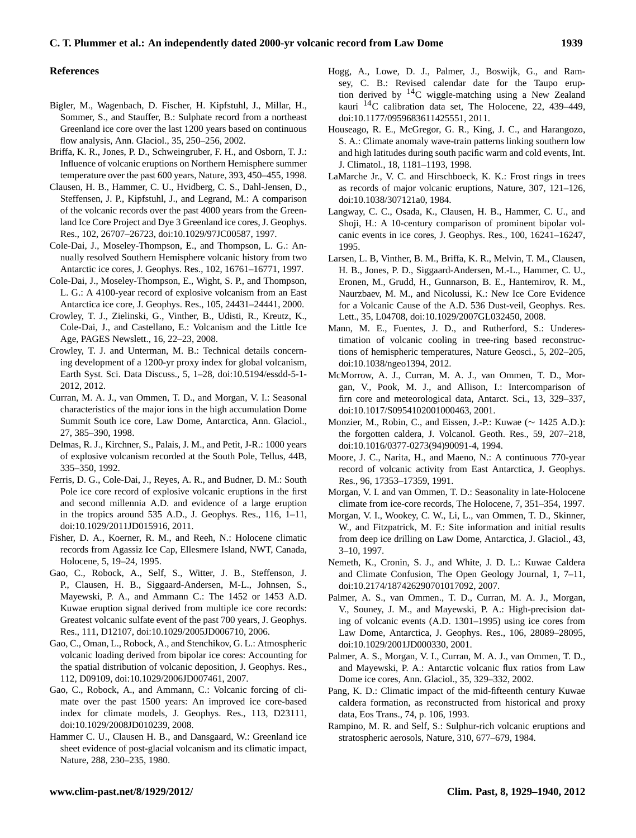#### **References**

- Bigler, M., Wagenbach, D. Fischer, H. Kipfstuhl, J., Millar, H., Sommer, S., and Stauffer, B.: Sulphate record from a northeast Greenland ice core over the last 1200 years based on continuous flow analysis, Ann. Glaciol., 35, 250–256, 2002.
- Briffa, K. R., Jones, P. D., Schweingruber, F. H., and Osborn, T. J.: Influence of volcanic eruptions on Northern Hemisphere summer temperature over the past 600 years, Nature, 393, 450–455, 1998.
- Clausen, H. B., Hammer, C. U., Hvidberg, C. S., Dahl-Jensen, D., Steffensen, J. P., Kipfstuhl, J., and Legrand, M.: A comparison of the volcanic records over the past 4000 years from the Greenland Ice Core Project and Dye 3 Greenland ice cores, J. Geophys. Res., 102, 26707–26723, [doi:10.1029/97JC00587,](http://dx.doi.org/10.1029/97JC00587) 1997.
- Cole-Dai, J., Moseley-Thompson, E., and Thompson, L. G.: Annually resolved Southern Hemisphere volcanic history from two Antarctic ice cores, J. Geophys. Res., 102, 16761–16771, 1997.
- Cole-Dai, J., Moseley-Thompson, E., Wight, S. P., and Thompson, L. G.: A 4100-year record of explosive volcanism from an East Antarctica ice core, J. Geophys. Res., 105, 24431–24441, 2000.
- Crowley, T. J., Zielinski, G., Vinther, B., Udisti, R., Kreutz, K., Cole-Dai, J., and Castellano, E.: Volcanism and the Little Ice Age, PAGES Newslett., 16, 22–23, 2008.
- Crowley, T. J. and Unterman, M. B.: Technical details concerning development of a 1200-yr proxy index for global volcanism, Earth Syst. Sci. Data Discuss., 5, 1–28, [doi:10.5194/essdd-5-1-](http://dx.doi.org/10.5194/essdd-5-1-2012) [2012,](http://dx.doi.org/10.5194/essdd-5-1-2012) 2012.
- Curran, M. A. J., van Ommen, T. D., and Morgan, V. I.: Seasonal characteristics of the major ions in the high accumulation Dome Summit South ice core, Law Dome, Antarctica, Ann. Glaciol., 27, 385–390, 1998.
- Delmas, R. J., Kirchner, S., Palais, J. M., and Petit, J-R.: 1000 years of explosive volcanism recorded at the South Pole, Tellus, 44B, 335–350, 1992.
- Ferris, D. G., Cole-Dai, J., Reyes, A. R., and Budner, D. M.: South Pole ice core record of explosive volcanic eruptions in the first and second millennia A.D. and evidence of a large eruption in the tropics around 535 A.D., J. Geophys. Res., 116, 1–11, [doi:10.1029/2011JD015916,](http://dx.doi.org/10.1029/2011JD015916) 2011.
- Fisher, D. A., Koerner, R. M., and Reeh, N.: Holocene climatic records from Agassiz Ice Cap, Ellesmere Island, NWT, Canada, Holocene, 5, 19–24, 1995.
- Gao, C., Robock, A., Self, S., Witter, J. B., Steffenson, J. P., Clausen, H. B., Siggaard-Andersen, M-L., Johnsen, S., Mayewski, P. A., and Ammann C.: The 1452 or 1453 A.D. Kuwae eruption signal derived from multiple ice core records: Greatest volcanic sulfate event of the past 700 years, J. Geophys. Res., 111, D12107, [doi:10.1029/2005JD006710,](http://dx.doi.org/10.1029/2005JD006710) 2006.
- Gao, C., Oman, L., Robock, A., and Stenchikov, G. L.: Atmospheric volcanic loading derived from bipolar ice cores: Accounting for the spatial distribution of volcanic deposition, J. Geophys. Res., 112, D09109, [doi:10.1029/2006JD007461,](http://dx.doi.org/10.1029/2006JD007461) 2007.
- Gao, C., Robock, A., and Ammann, C.: Volcanic forcing of climate over the past 1500 years: An improved ice core-based index for climate models, J. Geophys. Res., 113, D23111, [doi:10.1029/2008JD010239,](http://dx.doi.org/10.1029/2008JD010239) 2008.
- Hammer C. U., Clausen H. B., and Dansgaard, W.: Greenland ice sheet evidence of post-glacial volcanism and its climatic impact, Nature, 288, 230–235, 1980.
- Hogg, A., Lowe, D. J., Palmer, J., Boswijk, G., and Ramsey, C. B.: Revised calendar date for the Taupo eruption derived by  $^{14}$ C wiggle-matching using a New Zealand kauri  $^{14}$ C calibration data set, The Holocene, 22, 439–449, [doi:10.1177/0959683611425551,](http://dx.doi.org/10.1177/0959683611425551) 2011.
- Houseago, R. E., McGregor, G. R., King, J. C., and Harangozo, S. A.: Climate anomaly wave-train patterns linking southern low and high latitudes during south pacific warm and cold events, Int. J. Climatol., 18, 1181–1193, 1998.
- LaMarche Jr., V. C. and Hirschboeck, K. K.: Frost rings in trees as records of major volcanic eruptions, Nature, 307, 121–126, [doi:10.1038/307121a0,](http://dx.doi.org/10.1038/307121a0) 1984.
- Langway, C. C., Osada, K., Clausen, H. B., Hammer, C. U., and Shoji, H.: A 10-century comparison of prominent bipolar volcanic events in ice cores, J. Geophys. Res., 100, 16241–16247, 1995.
- Larsen, L. B, Vinther, B. M., Briffa, K. R., Melvin, T. M., Clausen, H. B., Jones, P. D., Siggaard-Andersen, M.-L., Hammer, C. U., Eronen, M., Grudd, H., Gunnarson, B. E., Hantemirov, R. M., Naurzbaev, M. M., and Nicolussi, K.: New Ice Core Evidence for a Volcanic Cause of the A.D. 536 Dust-veil, Geophys. Res. Lett., 35, L04708, [doi:10.1029/2007GL032450,](http://dx.doi.org/10.1029/2007GL032450) 2008.
- Mann, M. E., Fuentes, J. D., and Rutherford, S.: Underestimation of volcanic cooling in tree-ring based reconstructions of hemispheric temperatures, Nature Geosci., 5, 202–205, [doi:10.1038/ngeo1394,](http://dx.doi.org/10.1038/ngeo1394) 2012.
- McMorrow, A. J., Curran, M. A. J., van Ommen, T. D., Morgan, V., Pook, M. J., and Allison, I.: Intercomparison of firn core and meteorological data, Antarct. Sci., 13, 329–337, [doi:10.1017/S0954102001000463,](http://dx.doi.org/10.1017/S0954102001000463) 2001.
- Monzier, M., Robin, C., and Eissen, J.-P.: Kuwae (∼ 1425 A.D.): the forgotten caldera, J. Volcanol. Geoth. Res., 59, 207–218, [doi:10.1016/0377-0273\(94\)90091-4,](http://dx.doi.org/10.1016/0377-0273(94)90091-4) 1994.
- Moore, J. C., Narita, H., and Maeno, N.: A continuous 770-year record of volcanic activity from East Antarctica, J. Geophys. Res., 96, 17353–17359, 1991.
- Morgan, V. I. and van Ommen, T. D.: Seasonality in late-Holocene climate from ice-core records, The Holocene, 7, 351–354, 1997.
- Morgan, V. I., Wookey, C. W., Li, L., van Ommen, T. D., Skinner, W., and Fitzpatrick, M. F.: Site information and initial results from deep ice drilling on Law Dome, Antarctica, J. Glaciol., 43, 3–10, 1997.
- Nemeth, K., Cronin, S. J., and White, J. D. L.: Kuwae Caldera and Climate Confusion, The Open Geology Journal, 1, 7–11, [doi:10.2174/187426290701017092,](http://dx.doi.org/10.2174/187426290701017092) 2007.
- Palmer, A. S., van Ommen., T. D., Curran, M. A. J., Morgan, V., Souney, J. M., and Mayewski, P. A.: High-precision dating of volcanic events (A.D. 1301–1995) using ice cores from Law Dome, Antarctica, J. Geophys. Res., 106, 28089–28095, [doi:10.1029/2001JD000330,](http://dx.doi.org/10.1029/2001JD000330) 2001.
- Palmer, A. S., Morgan, V. I., Curran, M. A. J., van Ommen, T. D., and Mayewski, P. A.: Antarctic volcanic flux ratios from Law Dome ice cores, Ann. Glaciol., 35, 329–332, 2002.
- Pang, K. D.: Climatic impact of the mid-fifteenth century Kuwae caldera formation, as reconstructed from historical and proxy data, Eos Trans., 74, p. 106, 1993.
- Rampino, M. R. and Self, S.: Sulphur-rich volcanic eruptions and stratospheric aerosols, Nature, 310, 677–679, 1984.